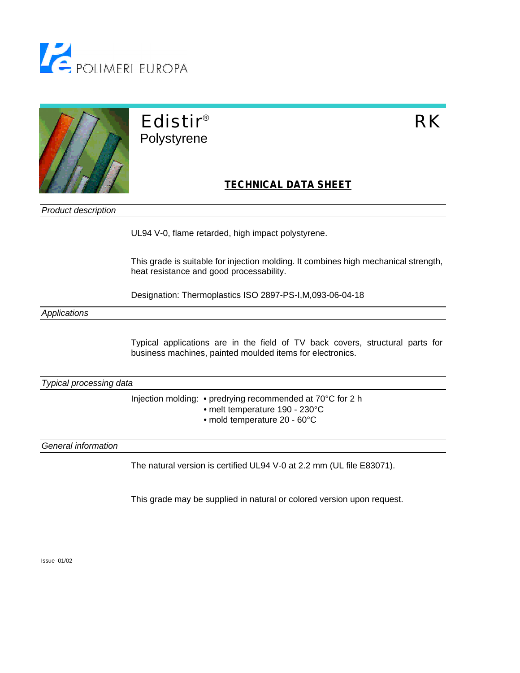



## Edistir® RK Polystyrene

## **TECHNICAL DATA SHEET**

*Product description*

UL94 V-0, flame retarded, high impact polystyrene.

This grade is suitable for injection molding. It combines high mechanical strength, heat resistance and good processability.

Designation: Thermoplastics ISO 2897-PS-I,M,093-06-04-18

*Applications*

Typical applications are in the field of TV back covers, structural parts for business machines, painted moulded items for electronics.

*Typical processing data*

Injection molding: • predrying recommended at 70°C for 2 h

- melt temperature 190 230°C
- mold temperature 20 60°C

*General information*

The natural version is certified UL94 V-0 at 2.2 mm (UL file E83071).

This grade may be supplied in natural or colored version upon request.

Issue 01/02